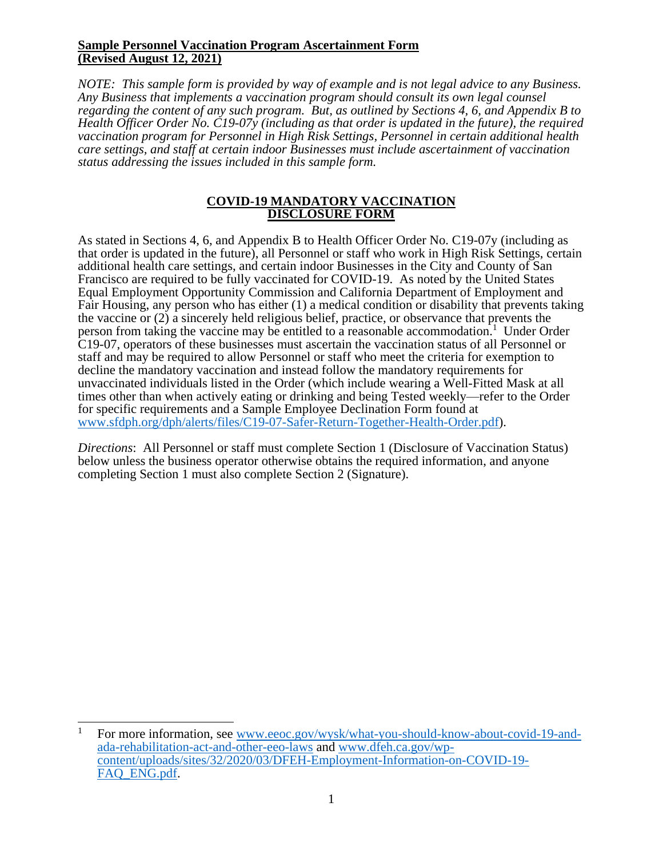#### **Sample Personnel Vaccination Program Ascertainment Form (Revised August 12, 2021)**

*NOTE: This sample form is provided by way of example and is not legal advice to any Business. Any Business that implements a vaccination program should consult its own legal counsel regarding the content of any such program. But, as outlined by Sections 4, 6, and Appendix B to Health Officer Order No. C19-07y (including as that order is updated in the future), the required vaccination program for Personnel in High Risk Settings, Personnel in certain additional health care settings, and staff at certain indoor Businesses must include ascertainment of vaccination status addressing the issues included in this sample form.*

#### **COVID-19 MANDATORY VACCINATION DISCLOSURE FORM**

As stated in Sections 4, 6, and Appendix B to Health Officer Order No. C19-07y (including as that order is updated in the future), all Personnel or staff who work in High Risk Settings, certain additional health care settings, and certain indoor Businesses in the City and County of San Francisco are required to be fully vaccinated for COVID-19. As noted by the United States Equal Employment Opportunity Commission and California Department of Employment and Fair Housing, any person who has either (1) a medical condition or disability that prevents taking the vaccine or (2) a sincerely held religious belief, practice, or observance that prevents the person from taking the vaccine may be entitled to a reasonable accommodation.<sup>1</sup> Under Order C19-07, operators of these businesses must ascertain the vaccination status of all Personnel or staff and may be required to allow Personnel or staff who meet the criteria for exemption to decline the mandatory vaccination and instead follow the mandatory requirements for unvaccinated individuals listed in the Order (which include wearing a Well-Fitted Mask at all times other than when actively eating or drinking and being Tested weekly—refer to the Order for specific requirements and a Sample Employee Declination Form found at [www.sfdph.org/dph/alerts/files/C19-07-Safer-Return-Together-Health-Order.pdf\)](https://www.sfdph.org/dph/alerts/files/C19-07-Safer-Return-Together-Health-Order.pdf).

*Directions*: All Personnel or staff must complete Section 1 (Disclosure of Vaccination Status) below unless the business operator otherwise obtains the required information, and anyone completing Section 1 must also complete Section 2 (Signature).

<sup>&</sup>lt;sup>1</sup> For more information, see [www.eeoc.gov/wysk/what-you-should-know-about-covid-19-and](https://www.eeoc.gov/wysk/what-you-should-know-about-covid-19-and-ada-rehabilitation-act-and-other-eeo-laws)[ada-rehabilitation-act-and-other-eeo-laws](https://www.eeoc.gov/wysk/what-you-should-know-about-covid-19-and-ada-rehabilitation-act-and-other-eeo-laws) and [www.dfeh.ca.gov/wp](https://www.dfeh.ca.gov/wp-content/uploads/sites/32/2020/03/DFEH-Employment-Information-on-COVID-19-FAQ_ENG.pdf)[content/uploads/sites/32/2020/03/DFEH-Employment-Information-on-COVID-19-](https://www.dfeh.ca.gov/wp-content/uploads/sites/32/2020/03/DFEH-Employment-Information-on-COVID-19-FAQ_ENG.pdf) FAQ ENG.pdf.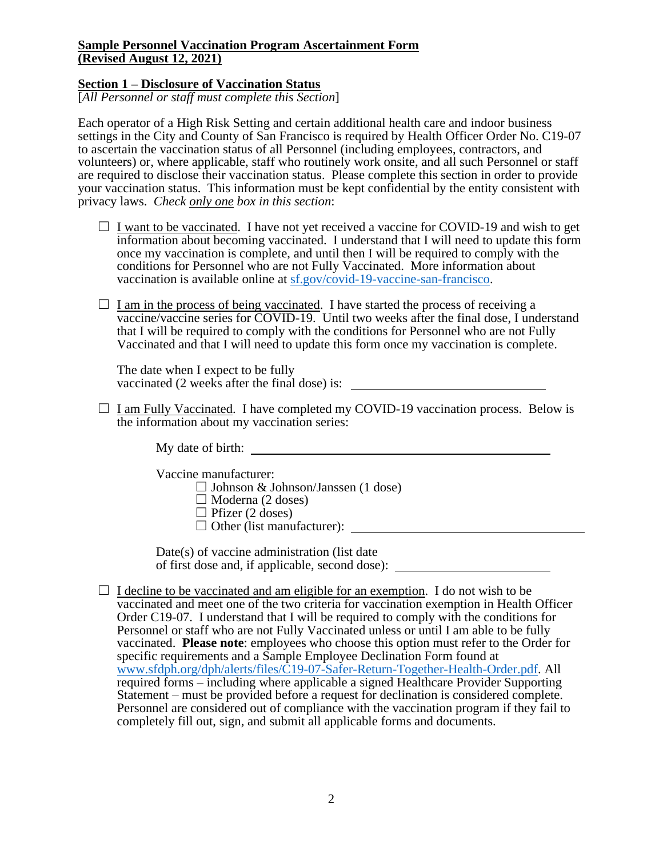## **Sample Personnel Vaccination Program Ascertainment Form (Revised August 12, 2021)**

# **Section 1 – Disclosure of Vaccination Status**

[*All Personnel or staff must complete this Section*]

Each operator of a High Risk Setting and certain additional health care and indoor business settings in the City and County of San Francisco is required by Health Officer Order No. C19-07 to ascertain the vaccination status of all Personnel (including employees, contractors, and volunteers) or, where applicable, staff who routinely work onsite, and all such Personnel or staff are required to disclose their vaccination status. Please complete this section in order to provide your vaccination status. This information must be kept confidential by the entity consistent with privacy laws. *Check only one box in this section*:

- $\Box$  I want to be vaccinated. I have not yet received a vaccine for COVID-19 and wish to get information about becoming vaccinated. I understand that I will need to update this form once my vaccination is complete, and until then I will be required to comply with the conditions for Personnel who are not Fully Vaccinated. More information about vaccination is available online at [sf.gov/covid-19-vaccine-san-francisco.](https://sf.gov/covid-19-vaccine-san-francisco)
- $\Box$  I am in the process of being vaccinated. I have started the process of receiving a vaccine/vaccine series for COVID-19. Until two weeks after the final dose, I understand that I will be required to comply with the conditions for Personnel who are not Fully Vaccinated and that I will need to update this form once my vaccination is complete.

The date when I expect to be fully vaccinated (2 weeks after the final dose) is: \_\_\_

 $\Box$  I am Fully Vaccinated. I have completed my COVID-19 vaccination process. Below is the information about my vaccination series:

My date of birth:  $\qquad \qquad$ 

Vaccine manufacturer:  $\Box$  Johnson & Johnson/Janssen (1 dose)  $\Box$  Moderna (2 doses)  $\Box$  Pfizer (2 doses)  $\Box$  Other (list manufacturer):  $\Box$ 

Date(s) of vaccine administration (list date of first dose and, if applicable, second dose):

 $\Box$  I decline to be vaccinated and am eligible for an exemption. I do not wish to be vaccinated and meet one of the two criteria for vaccination exemption in Health Officer Order C19-07. I understand that I will be required to comply with the conditions for Personnel or staff who are not Fully Vaccinated unless or until I am able to be fully vaccinated. **Please note**: employees who choose this option must refer to the Order for specific requirements and a Sample Employee Declination Form found at [www.sfdph.org/dph/alerts/files/C19-07-Safer-Return-Together-Health-Order.pdf.](https://www.sfdph.org/dph/alerts/files/C19-07-Safer-Return-Together-Health-Order.pdf) All required forms – including where applicable a signed Healthcare Provider Supporting Statement – must be provided before a request for declination is considered complete. Personnel are considered out of compliance with the vaccination program if they fail to completely fill out, sign, and submit all applicable forms and documents.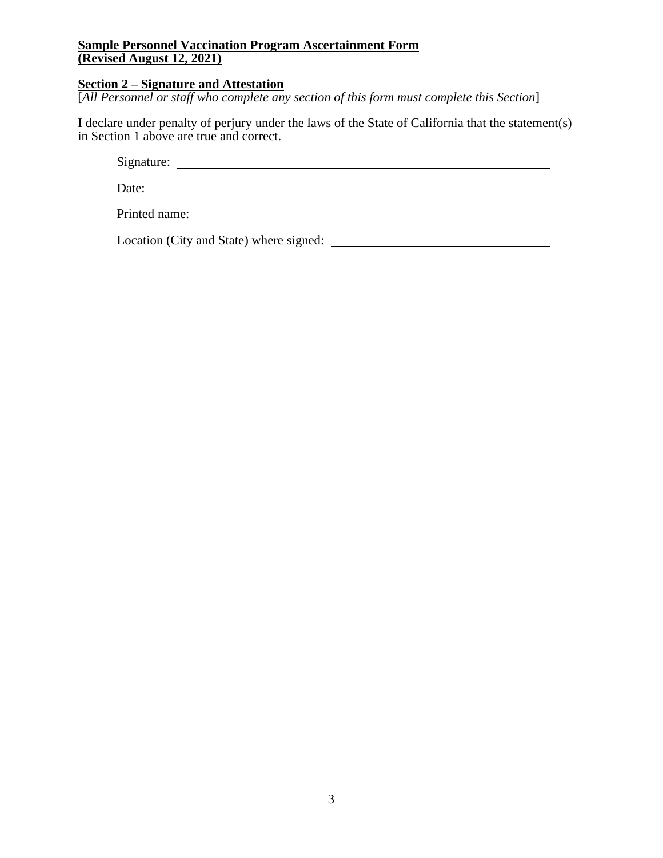# **Sample Personnel Vaccination Program Ascertainment Form (Revised August 12, 2021)**

# **Section 2 – Signature and Attestation**

[*All Personnel or staff who complete any section of this form must complete this Section*]

I declare under penalty of perjury under the laws of the State of California that the statement(s) in Section 1 above are true and correct.

Signature:

Date:

Printed name:

Location (City and State) where signed: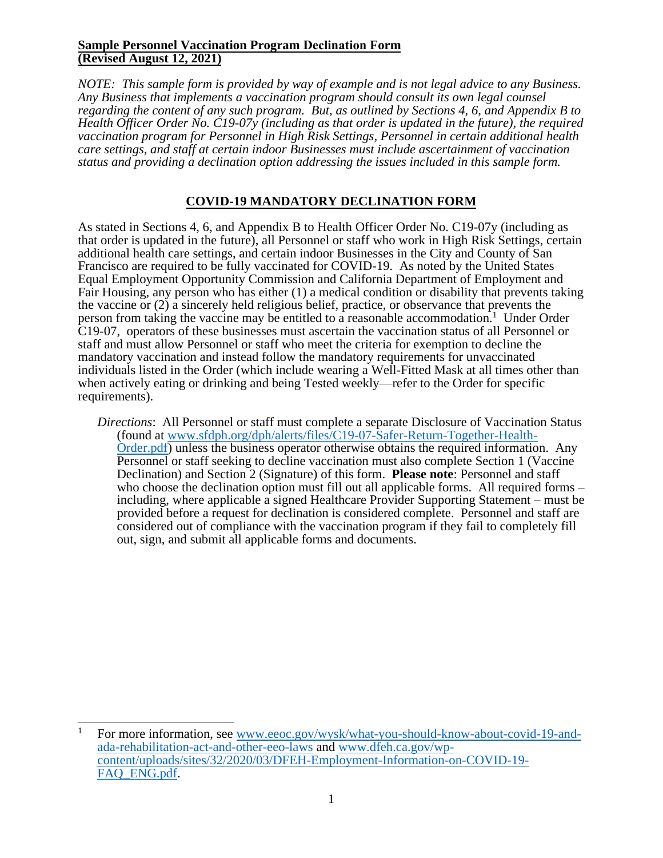### **Sample Personnel Vaccination Program Declination Form (Revised August 12, 2021)**

*NOTE: This sample form is provided by way of example and is not legal advice to any Business. Any Business that implements a vaccination program should consult its own legal counsel regarding the content of any such program. But, as outlined by Sections 4, 6, and Appendix B to Health Officer Order No. C19-07y (including as that order is updated in the future), the required vaccination program for Personnel in High Risk Settings, Personnel in certain additional health care settings, and staff at certain indoor Businesses must include ascertainment of vaccination status and providing a declination option addressing the issues included in this sample form.* 

# **COVID-19 MANDATORY DECLINATION FORM**

As stated in Sections 4, 6, and Appendix B to Health Officer Order No. C19-07y (including as that order is updated in the future), all Personnel or staff who work in High Risk Settings, certain additional health care settings, and certain indoor Businesses in the City and County of San Francisco are required to be fully vaccinated for COVID-19. As noted by the United States Equal Employment Opportunity Commission and California Department of Employment and Fair Housing, any person who has either (1) a medical condition or disability that prevents taking the vaccine or (2) a sincerely held religious belief, practice, or observance that prevents the person from taking the vaccine may be entitled to a reasonable accommodation.<sup>1</sup> Under Order C19-07, operators of these businesses must ascertain the vaccination status of all Personnel or staff and must allow Personnel or staff who meet the criteria for exemption to decline the mandatory vaccination and instead follow the mandatory requirements for unvaccinated individuals listed in the Order (which include wearing a Well-Fitted Mask at all times other than when actively eating or drinking and being Tested weekly—refer to the Order for specific requirements).

*Directions*: All Personnel or staff must complete a separate Disclosure of Vaccination Status (found at [www.sfdph.org/dph/alerts/files/C19-07-Safer-Return-Together-Health-](https://www.sfdph.org/dph/alerts/files/C19-07-Safer-Return-Together-Health-Order.pdf)[Order.pdf\)](https://www.sfdph.org/dph/alerts/files/C19-07-Safer-Return-Together-Health-Order.pdf) unless the business operator otherwise obtains the required information. Any Personnel or staff seeking to decline vaccination must also complete Section 1 (Vaccine Declination) and Section 2 (Signature) of this form. **Please note**: Personnel and staff who choose the declination option must fill out all applicable forms. All required forms – including, where applicable a signed Healthcare Provider Supporting Statement – must be provided before a request for declination is considered complete. Personnel and staff are considered out of compliance with the vaccination program if they fail to completely fill out, sign, and submit all applicable forms and documents.

<sup>1</sup> For more information, see [www.eeoc.gov/wysk/what-you-should-know-about-covid-19-and](https://www.eeoc.gov/wysk/what-you-should-know-about-covid-19-and-ada-rehabilitation-act-and-other-eeo-laws)[ada-rehabilitation-act-and-other-eeo-laws](https://www.eeoc.gov/wysk/what-you-should-know-about-covid-19-and-ada-rehabilitation-act-and-other-eeo-laws) and [www.dfeh.ca.gov/wp](https://www.dfeh.ca.gov/wp-content/uploads/sites/32/2020/03/DFEH-Employment-Information-on-COVID-19-FAQ_ENG.pdf)[content/uploads/sites/32/2020/03/DFEH-Employment-Information-on-COVID-19-](https://www.dfeh.ca.gov/wp-content/uploads/sites/32/2020/03/DFEH-Employment-Information-on-COVID-19-FAQ_ENG.pdf) [FAQ\\_ENG.pdf.](https://www.dfeh.ca.gov/wp-content/uploads/sites/32/2020/03/DFEH-Employment-Information-on-COVID-19-FAQ_ENG.pdf)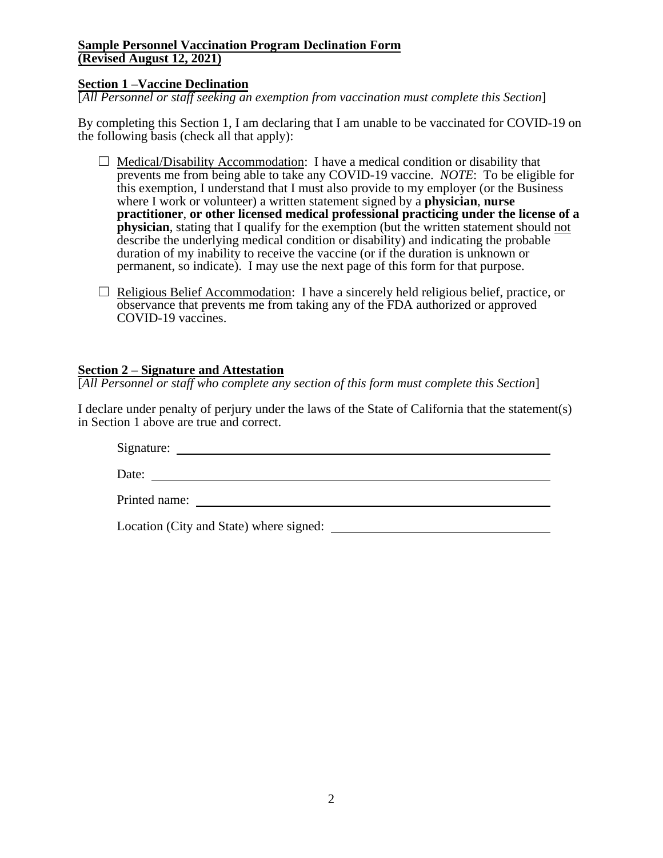## **Sample Personnel Vaccination Program Declination Form (Revised August 12, 2021)**

# **Section 1 –Vaccine Declination**

[*All Personnel or staff seeking an exemption from vaccination must complete this Section*]

By completing this Section 1, I am declaring that I am unable to be vaccinated for COVID-19 on the following basis (check all that apply):

- $\Box$  Medical/Disability Accommodation: I have a medical condition or disability that prevents me from being able to take any COVID-19 vaccine. *NOTE*: To be eligible for this exemption, I understand that I must also provide to my employer (or the Business where I work or volunteer) a written statement signed by a **physician**, **nurse practitioner**, **or other licensed medical professional practicing under the license of a physician**, stating that I qualify for the exemption (but the written statement should not describe the underlying medical condition or disability) and indicating the probable duration of my inability to receive the vaccine (or if the duration is unknown or permanent, so indicate). I may use the next page of this form for that purpose.
- $\Box$  Religious Belief Accommodation: I have a sincerely held religious belief, practice, or observance that prevents me from taking any of the FDA authorized or approved COVID-19 vaccines.

### **Section 2 – Signature and Attestation**

[*All Personnel or staff who complete any section of this form must complete this Section*]

I declare under penalty of perjury under the laws of the State of California that the statement(s) in Section 1 above are true and correct.

Signature:

Date:

Printed name:

Location (City and State) where signed: